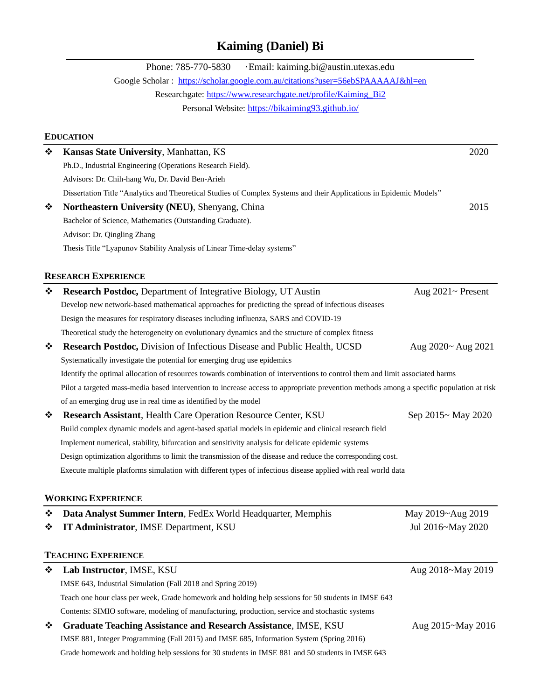# **Kaiming (Daniel) Bi**

|   | · Email: kaiming.bi@austin.utexas.edu<br>Phone: 785-770-5830                                                                            |                    |
|---|-----------------------------------------------------------------------------------------------------------------------------------------|--------------------|
|   | Google Scholar: https://scholar.google.com.au/citations?user=56ebSPAAAAAJ&hl=en                                                         |                    |
|   | Researchgate: https://www.researchgate.net/profile/Kaiming_Bi2                                                                          |                    |
|   | Personal Website: https://bikaiming93.github.io/                                                                                        |                    |
|   |                                                                                                                                         |                    |
|   | <b>EDUCATION</b>                                                                                                                        |                    |
| ❖ | Kansas State University, Manhattan, KS                                                                                                  | 2020               |
|   | Ph.D., Industrial Engineering (Operations Research Field).                                                                              |                    |
|   | Advisors: Dr. Chih-hang Wu, Dr. David Ben-Arieh                                                                                         |                    |
|   | Dissertation Title "Analytics and Theoretical Studies of Complex Systems and their Applications in Epidemic Models"                     |                    |
| ❖ | Northeastern University (NEU), Shenyang, China                                                                                          | 2015               |
|   | Bachelor of Science, Mathematics (Outstanding Graduate).                                                                                |                    |
|   | Advisor: Dr. Qingling Zhang                                                                                                             |                    |
|   | Thesis Title "Lyapunov Stability Analysis of Linear Time-delay systems"                                                                 |                    |
|   | <b>RESEARCH EXPERIENCE</b>                                                                                                              |                    |
| ❖ | Research Postdoc, Department of Integrative Biology, UT Austin                                                                          | Aug 2021~ Present  |
|   | Develop new network-based mathematical approaches for predicting the spread of infectious diseases                                      |                    |
|   | Design the measures for respiratory diseases including influenza, SARS and COVID-19                                                     |                    |
|   | Theoretical study the heterogeneity on evolutionary dynamics and the structure of complex fitness                                       |                    |
| ❖ | Research Postdoc, Division of Infectious Disease and Public Health, UCSD                                                                | Aug 2020~ Aug 2021 |
|   | Systematically investigate the potential for emerging drug use epidemics                                                                |                    |
|   | Identify the optimal allocation of resources towards combination of interventions to control them and limit associated harms            |                    |
|   | Pilot a targeted mass-media based intervention to increase access to appropriate prevention methods among a specific population at risk |                    |
|   | of an emerging drug use in real time as identified by the model                                                                         |                    |
| ❖ | Research Assistant, Health Care Operation Resource Center, KSU                                                                          | Sep 2015~ May 2020 |
|   | Build complex dynamic models and agent-based spatial models in epidemic and clinical research field                                     |                    |
|   | Implement numerical, stability, bifurcation and sensitivity analysis for delicate epidemic systems                                      |                    |
|   | Design optimization algorithms to limit the transmission of the disease and reduce the corresponding cost.                              |                    |
|   | Execute multiple platforms simulation with different types of infectious disease applied with real world data                           |                    |
|   |                                                                                                                                         |                    |
|   | <b>WORKING EXPERIENCE</b>                                                                                                               |                    |
| ❖ | Data Analyst Summer Intern, FedEx World Headquarter, Memphis                                                                            | May 2019~Aug 2019  |
| ❖ | IT Administrator, IMSE Department, KSU                                                                                                  | Jul 2016~May 2020  |
|   | <b>TEACHING EXPERIENCE</b>                                                                                                              |                    |
| ❖ | Lab Instructor, IMSE, KSU                                                                                                               | Aug 2018~May 2019  |
|   | IMSE 643, Industrial Simulation (Fall 2018 and Spring 2019)                                                                             |                    |
|   | Teach one hour class per week, Grade homework and holding help sessions for 50 students in IMSE 643                                     |                    |
|   | Contents: SIMIO software, modeling of manufacturing, production, service and stochastic systems                                         |                    |
| ❖ | <b>Graduate Teaching Assistance and Research Assistance, IMSE, KSU</b>                                                                  | Aug 2015~May 2016  |
|   | IMSE 881, Integer Programming (Fall 2015) and IMSE 685, Information System (Spring 2016)                                                |                    |

Grade homework and holding help sessions for 30 students in IMSE 881 and 50 students in IMSE 643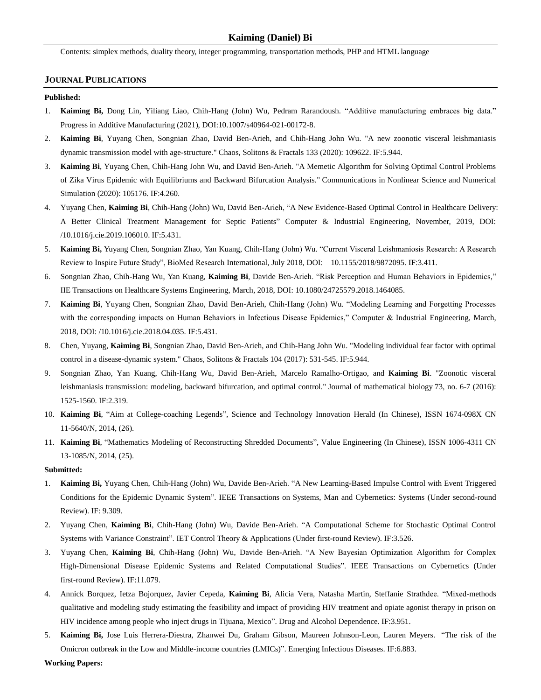Contents: simplex methods, duality theory, integer programming, transportation methods, PHP and HTML language

### **JOURNAL PUBLICATIONS**

### **Published:**

- 1. **Kaiming Bi,** Dong Lin, Yiliang Liao, Chih-Hang (John) Wu, Pedram Rarandoush. "Additive manufacturing embraces big data." Progress in Additive Manufacturing (2021), DOI:10.1007/s40964-021-00172-8.
- 2. **Kaiming Bi**, Yuyang Chen, Songnian Zhao, David Ben-Arieh, and Chih-Hang John Wu. "A new zoonotic visceral leishmaniasis dynamic transmission model with age-structure." Chaos, Solitons & Fractals 133 (2020): 109622. IF:5.944.
- 3. **Kaiming Bi**, Yuyang Chen, Chih-Hang John Wu, and David Ben-Arieh. "A Memetic Algorithm for Solving Optimal Control Problems of Zika Virus Epidemic with Equilibriums and Backward Bifurcation Analysis." Communications in Nonlinear Science and Numerical Simulation (2020): 105176. IF:4.260.
- 4. Yuyang Chen, **Kaiming Bi**, Chih-Hang (John) Wu, David Ben-Arieh, "A New Evidence-Based Optimal Control in Healthcare Delivery: A Better Clinical Treatment Management for Septic Patients" Computer & Industrial Engineering, November, 2019, DOI: [/10.1016/j.cie.2019.106010.](https://doi.org/10.1016/j.cie.2019.106010) IF:5.431.
- 5. **Kaiming Bi,** Yuyang Chen, Songnian Zhao, Yan Kuang, Chih-Hang (John) Wu. "Current Visceral Leishmaniosis Research: A Research Review to Inspire Future Study", BioMed Research International, July 2018, DOI: 10.1155/2018/9872095. IF:3.411.
- 6. Songnian Zhao, Chih-Hang Wu, Yan Kuang, **Kaiming Bi**, Davide Ben-Arieh. "Risk Perception and Human Behaviors in Epidemics," IIE Transactions on Healthcare Systems Engineering, March, 2018, DOI: 10.1080/24725579.2018.1464085.
- 7. **Kaiming Bi**, Yuyang Chen, Songnian Zhao, David Ben-Arieh, Chih-Hang (John) Wu. "Modeling Learning and Forgetting Processes with the corresponding impacts on Human Behaviors in Infectious Disease Epidemics," Computer & Industrial Engineering, March, 2018, DOI: /10.1016/j.cie.2018.04.035. IF:5.431.
- 8. Chen, Yuyang, **Kaiming Bi**, Songnian Zhao, David Ben-Arieh, and Chih-Hang John Wu. "Modeling individual fear factor with optimal control in a disease-dynamic system." Chaos, Solitons & Fractals 104 (2017): 531-545. IF:5.944.
- 9. Songnian Zhao, Yan Kuang, Chih-Hang Wu, David Ben-Arieh, Marcelo Ramalho-Ortigao, and **Kaiming Bi**. "Zoonotic visceral leishmaniasis transmission: modeling, backward bifurcation, and optimal control." Journal of mathematical biology 73, no. 6-7 (2016): 1525-1560. IF:2.319.
- 10. **Kaiming Bi**, "Aim at College-coaching Legends", Science and Technology Innovation Herald (In Chinese), ISSN 1674-098X CN 11-5640/N, 2014, (26).
- 11. **Kaiming Bi**, "Mathematics Modeling of Reconstructing Shredded Documents", Value Engineering (In Chinese), ISSN 1006-4311 CN 13-1085/N, 2014, (25).

#### **Submitted:**

- 1. **Kaiming Bi,** Yuyang Chen, Chih-Hang (John) Wu, Davide Ben-Arieh. "A New Learning-Based Impulse Control with Event Triggered Conditions for the Epidemic Dynamic System". IEEE Transactions on Systems, Man and Cybernetics: Systems (Under second-round Review). IF: 9.309.
- 2. Yuyang Chen, **Kaiming Bi**, Chih-Hang (John) Wu, Davide Ben-Arieh. "A Computational Scheme for Stochastic Optimal Control Systems with Variance Constraint". IET Control Theory & Applications (Under first-round Review). IF:3.526.
- 3. Yuyang Chen, **Kaiming Bi**, Chih-Hang (John) Wu, Davide Ben-Arieh. "A New Bayesian Optimization Algorithm for Complex High-Dimensional Disease Epidemic Systems and Related Computational Studies". IEEE Transactions on Cybernetics (Under first-round Review). IF:11.079.
- 4. Annick Borquez, Ietza Bojorquez, Javier Cepeda, **Kaiming Bi**, Alicia Vera, Natasha Martin, Steffanie Strathdee. "Mixed-methods qualitative and modeling study estimating the feasibility and impact of providing HIV treatment and opiate agonist therapy in prison on HIV incidence among people who inject drugs in Tijuana, Mexico". Drug and Alcohol Dependence. IF:3.951.
- 5. **Kaiming Bi,** Jose Luis Herrera-Diestra, Zhanwei Du, Graham Gibson, Maureen Johnson-Leon, Lauren Meyers. "The risk of the Omicron outbreak in the Low and Middle-income countries (LMICs)". Emerging Infectious Diseases. IF:6.883.

**Working Papers:**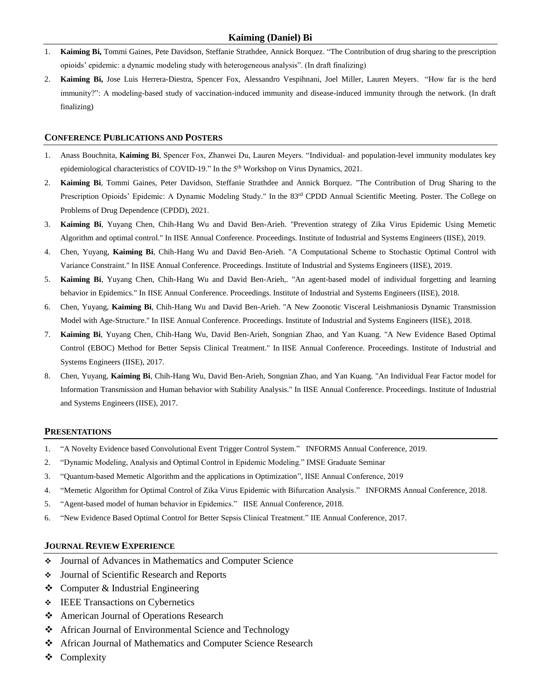# **Kaiming (Daniel) Bi**

- 1. **Kaiming Bi,** Tommi Gaines, Pete Davidson, Steffanie Strathdee, Annick Borquez. "The Contribution of drug sharing to the prescription opioids' epidemic: a dynamic modeling study with heterogeneous analysis". (In draft finalizing)
- 2. **Kaiming Bi,** Jose Luis Herrera-Diestra, Spencer Fox, Alessandro Vespihnani, Joel Miller, Lauren Meyers. "How far is the herd immunity?": A modeling-based study of vaccination-induced immunity and disease-induced immunity through the network. (In draft finalizing)

## **CONFERENCE PUBLICATIONS AND POSTERS**

- 1. Anass Bouchnita, **Kaiming Bi**, Spencer Fox, Zhanwei Du, Lauren Meyers. "Individual- and population-level immunity modulates key epidemiological characteristics of COVID-19." In the 5th Workshop on Virus Dynamics, 2021.
- 2. **Kaiming Bi**, Tommi Gaines, Peter Davidson, Steffanie Strathdee and Annick Borquez. "The Contribution of Drug Sharing to the Prescription Opioids' Epidemic: A Dynamic Modeling Study." In the 83<sup>rd</sup> CPDD Annual Scientific Meeting. Poster. The College on Problems of Drug Dependence (CPDD), 2021.
- 3. **Kaiming Bi**, Yuyang Chen, Chih-Hang Wu and David Ben-Arieh. "Prevention strategy of Zika Virus Epidemic Using Memetic Algorithm and optimal control." In IISE Annual Conference. Proceedings. Institute of Industrial and Systems Engineers (IISE), 2019.
- 4. Chen, Yuyang, **Kaiming Bi**, Chih-Hang Wu and David Ben-Arieh. "A Computational Scheme to Stochastic Optimal Control with Variance Constraint." In IISE Annual Conference. Proceedings. Institute of Industrial and Systems Engineers (IISE), 2019.
- 5. **Kaiming Bi**, Yuyang Chen, Chih-Hang Wu and David Ben-Arieh,. "An agent-based model of individual forgetting and learning behavior in Epidemics." In IISE Annual Conference. Proceedings. Institute of Industrial and Systems Engineers (IISE), 2018.
- 6. Chen, Yuyang, **Kaiming Bi**, Chih-Hang Wu and David Ben-Arieh. "A New Zoonotic Visceral Leishmaniosis Dynamic Transmission Model with Age-Structure." In IISE Annual Conference. Proceedings. Institute of Industrial and Systems Engineers (IISE), 2018.
- 7. **Kaiming Bi**, Yuyang Chen, Chih-Hang Wu, David Ben-Arieh, Songnian Zhao, and Yan Kuang. "A New Evidence Based Optimal Control (EBOC) Method for Better Sepsis Clinical Treatment." In IISE Annual Conference. Proceedings. Institute of Industrial and Systems Engineers (IISE), 2017.
- 8. Chen, Yuyang, **Kaiming Bi**, Chih-Hang Wu, David Ben-Arieh, Songnian Zhao, and Yan Kuang. "An Individual Fear Factor model for Information Transmission and Human behavior with Stability Analysis." In IISE Annual Conference. Proceedings. Institute of Industrial and Systems Engineers (IISE), 2017.

## **PRESENTATIONS**

- 1. "A Novelty Evidence based Convolutional Event Trigger Control System." INFORMS Annual Conference, 2019.
- 2. "Dynamic Modeling, Analysis and Optimal Control in Epidemic Modeling." IMSE Graduate Seminar
- 3. "Quantum-based Memetic Algorithm and the applications in Optimization", IISE Annual Conference, 2019
- 4. "Memetic Algorithm for Optimal Control of Zika Virus Epidemic with Bifurcation Analysis." INFORMS Annual Conference, 2018.
- 5. "Agent-based model of human behavior in Epidemics." IISE Annual Conference, 2018.
- 6. "New Evidence Based Optimal Control for Better Sepsis Clinical Treatment." IIE Annual Conference, 2017.

## **JOURNAL REVIEW EXPERIENCE**

- Journal of Advances in Mathematics and Computer Science
- Journal of Scientific Research and Reports
- $\triangle$  Computer & Industrial Engineering
- **EEE** Transactions on Cybernetics
- ❖ American Journal of Operations Research
- ❖ African Journal of Environmental Science and Technology
- **❖** African Journal of Mathematics and Computer Science Research
- ❖ Complexity